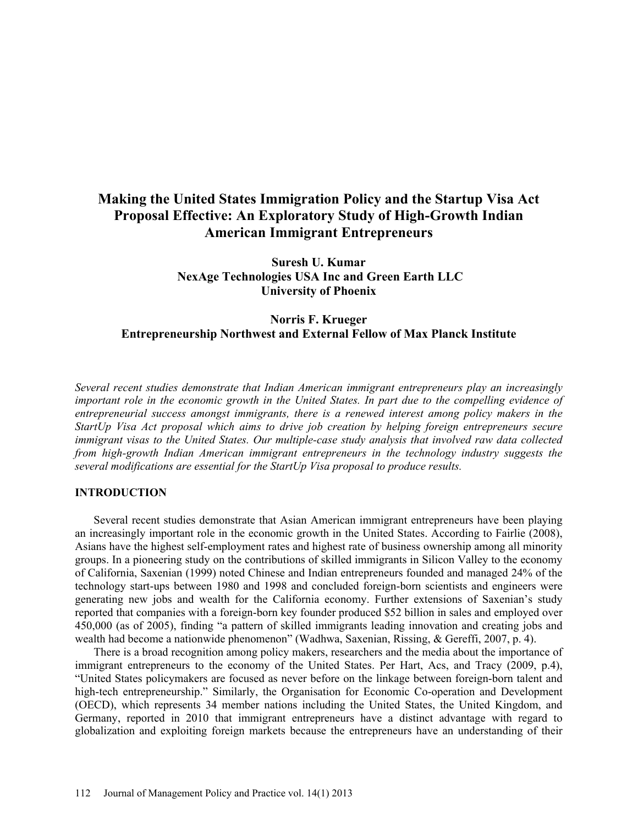# **Making the United States Immigration Policy and the Startup Visa Act Proposal Effective: An Exploratory Study of High-Growth Indian American Immigrant Entrepreneurs**

**Suresh U. Kumar NexAge Technologies USA Inc and Green Earth LLC University of Phoenix** 

# **Norris F. Krueger Entrepreneurship Northwest and External Fellow of Max Planck Institute**

*Several recent studies demonstrate that Indian American immigrant entrepreneurs play an increasingly important role in the economic growth in the United States. In part due to the compelling evidence of entrepreneurial success amongst immigrants, there is a renewed interest among policy makers in the StartUp Visa Act proposal which aims to drive job creation by helping foreign entrepreneurs secure immigrant visas to the United States. Our multiple-case study analysis that involved raw data collected from high-growth Indian American immigrant entrepreneurs in the technology industry suggests the several modifications are essential for the StartUp Visa proposal to produce results.* 

# **INTRODUCTION**

Several recent studies demonstrate that Asian American immigrant entrepreneurs have been playing an increasingly important role in the economic growth in the United States. According to Fairlie (2008), Asians have the highest self-employment rates and highest rate of business ownership among all minority groups. In a pioneering study on the contributions of skilled immigrants in Silicon Valley to the economy of California, Saxenian (1999) noted Chinese and Indian entrepreneurs founded and managed 24% of the technology start-ups between 1980 and 1998 and concluded foreign-born scientists and engineers were generating new jobs and wealth for the California economy. Further extensions of Saxenian's study reported that companies with a foreign-born key founder produced \$52 billion in sales and employed over 450,000 (as of 2005), finding "a pattern of skilled immigrants leading innovation and creating jobs and wealth had become a nationwide phenomenon" (Wadhwa, Saxenian, Rissing, & Gereffi, 2007, p. 4).

There is a broad recognition among policy makers, researchers and the media about the importance of immigrant entrepreneurs to the economy of the United States. Per Hart, Acs, and Tracy (2009, p.4), "United States policymakers are focused as never before on the linkage between foreign-born talent and high-tech entrepreneurship." Similarly, the Organisation for Economic Co-operation and Development (OECD), which represents 34 member nations including the United States, the United Kingdom, and Germany, reported in 2010 that immigrant entrepreneurs have a distinct advantage with regard to globalization and exploiting foreign markets because the entrepreneurs have an understanding of their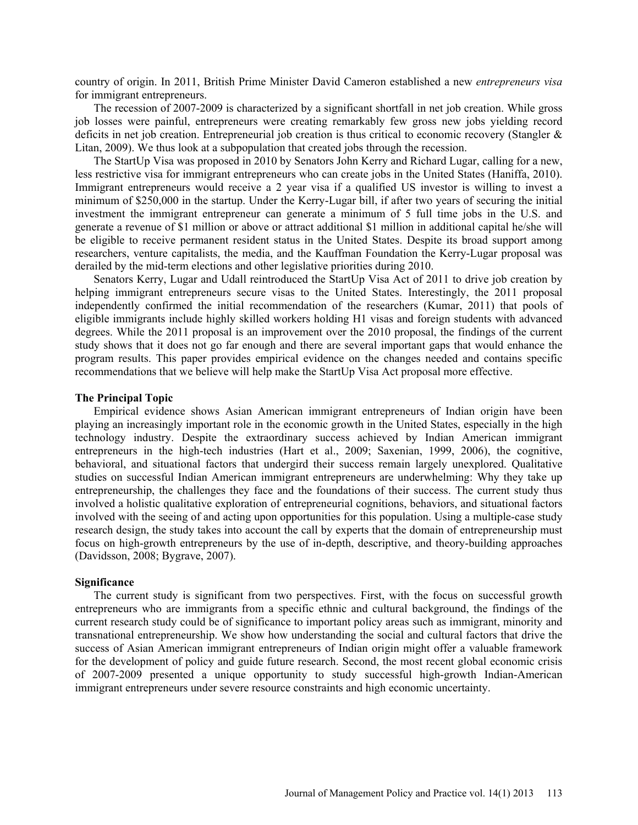country of origin. In 2011, British Prime Minister David Cameron established a new *entrepreneurs visa* for immigrant entrepreneurs.

The recession of 2007-2009 is characterized by a significant shortfall in net job creation. While gross job losses were painful, entrepreneurs were creating remarkably few gross new jobs yielding record deficits in net job creation. Entrepreneurial job creation is thus critical to economic recovery (Stangler & Litan, 2009). We thus look at a subpopulation that created jobs through the recession.

The StartUp Visa was proposed in 2010 by Senators John Kerry and Richard Lugar, calling for a new, less restrictive visa for immigrant entrepreneurs who can create jobs in the United States (Haniffa, 2010). Immigrant entrepreneurs would receive a 2 year visa if a qualified US investor is willing to invest a minimum of \$250,000 in the startup. Under the Kerry-Lugar bill, if after two years of securing the initial investment the immigrant entrepreneur can generate a minimum of 5 full time jobs in the U.S. and generate a revenue of \$1 million or above or attract additional \$1 million in additional capital he/she will be eligible to receive permanent resident status in the United States. Despite its broad support among researchers, venture capitalists, the media, and the Kauffman Foundation the Kerry-Lugar proposal was derailed by the mid-term elections and other legislative priorities during 2010.

Senators Kerry, Lugar and Udall reintroduced the StartUp Visa Act of 2011 to drive job creation by helping immigrant entrepreneurs secure visas to the United States. Interestingly, the 2011 proposal independently confirmed the initial recommendation of the researchers (Kumar, 2011) that pools of eligible immigrants include highly skilled workers holding H1 visas and foreign students with advanced degrees. While the 2011 proposal is an improvement over the 2010 proposal, the findings of the current study shows that it does not go far enough and there are several important gaps that would enhance the program results. This paper provides empirical evidence on the changes needed and contains specific recommendations that we believe will help make the StartUp Visa Act proposal more effective.

# **The Principal Topic**

Empirical evidence shows Asian American immigrant entrepreneurs of Indian origin have been playing an increasingly important role in the economic growth in the United States, especially in the high technology industry. Despite the extraordinary success achieved by Indian American immigrant entrepreneurs in the high-tech industries (Hart et al., 2009; Saxenian, 1999, 2006), the cognitive, behavioral, and situational factors that undergird their success remain largely unexplored. Qualitative studies on successful Indian American immigrant entrepreneurs are underwhelming: Why they take up entrepreneurship, the challenges they face and the foundations of their success. The current study thus involved a holistic qualitative exploration of entrepreneurial cognitions, behaviors, and situational factors involved with the seeing of and acting upon opportunities for this population. Using a multiple-case study research design, the study takes into account the call by experts that the domain of entrepreneurship must focus on high-growth entrepreneurs by the use of in-depth, descriptive, and theory-building approaches (Davidsson, 2008; Bygrave, 2007).

# **Significance**

The current study is significant from two perspectives. First, with the focus on successful growth entrepreneurs who are immigrants from a specific ethnic and cultural background, the findings of the current research study could be of significance to important policy areas such as immigrant, minority and transnational entrepreneurship. We show how understanding the social and cultural factors that drive the success of Asian American immigrant entrepreneurs of Indian origin might offer a valuable framework for the development of policy and guide future research. Second, the most recent global economic crisis of 2007-2009 presented a unique opportunity to study successful high-growth Indian-American immigrant entrepreneurs under severe resource constraints and high economic uncertainty.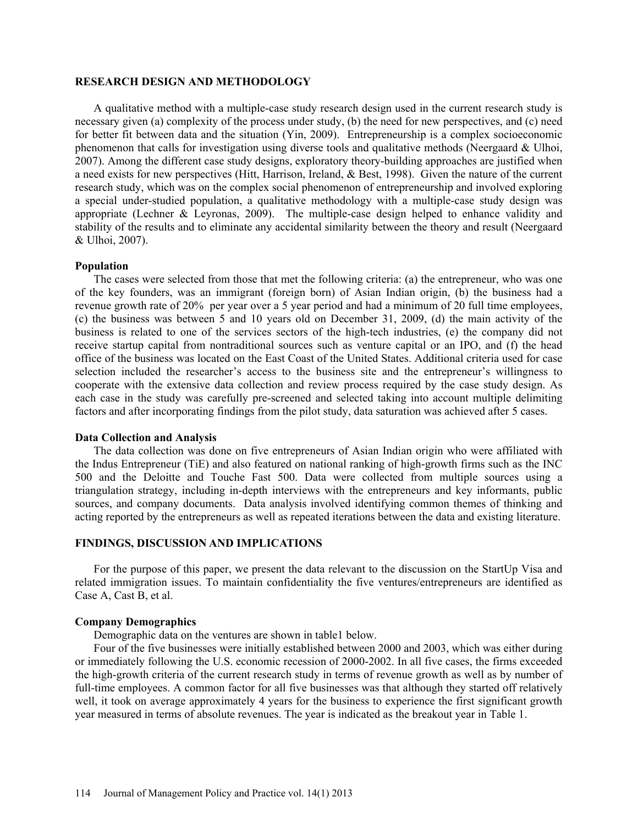# **RESEARCH DESIGN AND METHODOLOGY**

A qualitative method with a multiple-case study research design used in the current research study is necessary given (a) complexity of the process under study, (b) the need for new perspectives, and (c) need for better fit between data and the situation (Yin, 2009). Entrepreneurship is a complex socioeconomic phenomenon that calls for investigation using diverse tools and qualitative methods (Neergaard & Ulhoi, 2007). Among the different case study designs, exploratory theory-building approaches are justified when a need exists for new perspectives (Hitt, Harrison, Ireland, & Best, 1998). Given the nature of the current research study, which was on the complex social phenomenon of entrepreneurship and involved exploring a special under-studied population, a qualitative methodology with a multiple-case study design was appropriate (Lechner & Leyronas, 2009). The multiple-case design helped to enhance validity and stability of the results and to eliminate any accidental similarity between the theory and result (Neergaard & Ulhoi, 2007).

# **Population**

The cases were selected from those that met the following criteria: (a) the entrepreneur, who was one of the key founders, was an immigrant (foreign born) of Asian Indian origin, (b) the business had a revenue growth rate of 20% per year over a 5 year period and had a minimum of 20 full time employees, (c) the business was between 5 and 10 years old on December 31, 2009, (d) the main activity of the business is related to one of the services sectors of the high-tech industries, (e) the company did not receive startup capital from nontraditional sources such as venture capital or an IPO, and (f) the head office of the business was located on the East Coast of the United States. Additional criteria used for case selection included the researcher's access to the business site and the entrepreneur's willingness to cooperate with the extensive data collection and review process required by the case study design. As each case in the study was carefully pre-screened and selected taking into account multiple delimiting factors and after incorporating findings from the pilot study, data saturation was achieved after 5 cases.

### **Data Collection and Analysis**

The data collection was done on five entrepreneurs of Asian Indian origin who were affiliated with the Indus Entrepreneur (TiE) and also featured on national ranking of high-growth firms such as the INC 500 and the Deloitte and Touche Fast 500. Data were collected from multiple sources using a triangulation strategy, including in-depth interviews with the entrepreneurs and key informants, public sources, and company documents. Data analysis involved identifying common themes of thinking and acting reported by the entrepreneurs as well as repeated iterations between the data and existing literature.

# **FINDINGS, DISCUSSION AND IMPLICATIONS**

For the purpose of this paper, we present the data relevant to the discussion on the StartUp Visa and related immigration issues. To maintain confidentiality the five ventures/entrepreneurs are identified as Case A, Cast B, et al.

#### **Company Demographics**

Demographic data on the ventures are shown in table1 below.

Four of the five businesses were initially established between 2000 and 2003, which was either during or immediately following the U.S. economic recession of 2000-2002. In all five cases, the firms exceeded the high-growth criteria of the current research study in terms of revenue growth as well as by number of full-time employees. A common factor for all five businesses was that although they started off relatively well, it took on average approximately 4 years for the business to experience the first significant growth year measured in terms of absolute revenues. The year is indicated as the breakout year in Table 1.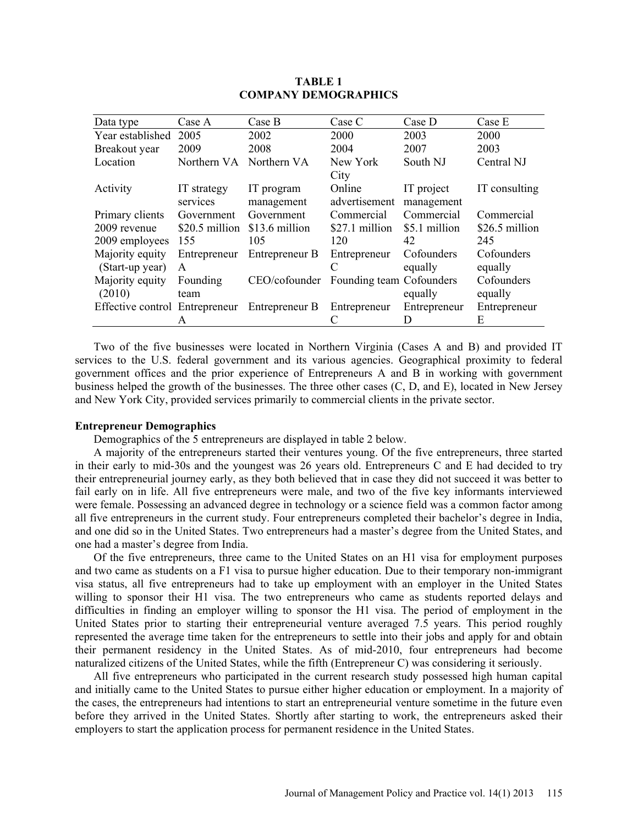| Data type                                     | Case A         | Case B         | Case C                   | Case D        | Case E         |
|-----------------------------------------------|----------------|----------------|--------------------------|---------------|----------------|
| Year established                              | 2005           | 2002           | 2000                     | 2003          | 2000           |
| Breakout year                                 | 2009           | 2008           | 2004                     | 2007          | 2003           |
| Location                                      | Northern VA    | Northern VA    | New York                 | South NJ      | Central NJ     |
|                                               |                |                | City                     |               |                |
| Activity                                      | IT strategy    | IT program     | Online                   | IT project    | IT consulting  |
|                                               | services       | management     | advertisement            | management    |                |
| Primary clients                               | Government     | Government     | Commercial               | Commercial    | Commercial     |
| 2009 revenue                                  | \$20.5 million | \$13.6 million | \$27.1 million           | \$5.1 million | \$26.5 million |
| 2009 employees                                | 155            | 105            | 120                      | 42            | 245            |
| Majority equity                               | Entrepreneur   | Entrepreneur B | Entrepreneur             | Cofounders    | Cofounders     |
| (Start-up year)                               | A              |                | C                        | equally       | equally        |
| Majority equity                               | Founding       | CEO/cofounder  | Founding team Cofounders |               | Cofounders     |
| (2010)                                        | team           |                |                          | equally       | equally        |
| Effective control Entrepreneur Entrepreneur B |                |                | Entrepreneur             | Entrepreneur  | Entrepreneur   |
|                                               | A              |                |                          | D             | Е              |

# **TABLE 1 COMPANY DEMOGRAPHICS**

Two of the five businesses were located in Northern Virginia (Cases A and B) and provided IT services to the U.S. federal government and its various agencies. Geographical proximity to federal government offices and the prior experience of Entrepreneurs A and B in working with government business helped the growth of the businesses. The three other cases (C, D, and E), located in New Jersey and New York City, provided services primarily to commercial clients in the private sector.

# **Entrepreneur Demographics**

Demographics of the 5 entrepreneurs are displayed in table 2 below.

A majority of the entrepreneurs started their ventures young. Of the five entrepreneurs, three started in their early to mid-30s and the youngest was 26 years old. Entrepreneurs C and E had decided to try their entrepreneurial journey early, as they both believed that in case they did not succeed it was better to fail early on in life. All five entrepreneurs were male, and two of the five key informants interviewed were female. Possessing an advanced degree in technology or a science field was a common factor among all five entrepreneurs in the current study. Four entrepreneurs completed their bachelor's degree in India, and one did so in the United States. Two entrepreneurs had a master's degree from the United States, and one had a master's degree from India.

Of the five entrepreneurs, three came to the United States on an H1 visa for employment purposes and two came as students on a F1 visa to pursue higher education. Due to their temporary non-immigrant visa status, all five entrepreneurs had to take up employment with an employer in the United States willing to sponsor their H1 visa. The two entrepreneurs who came as students reported delays and difficulties in finding an employer willing to sponsor the H1 visa. The period of employment in the United States prior to starting their entrepreneurial venture averaged 7.5 years. This period roughly represented the average time taken for the entrepreneurs to settle into their jobs and apply for and obtain their permanent residency in the United States. As of mid-2010, four entrepreneurs had become naturalized citizens of the United States, while the fifth (Entrepreneur C) was considering it seriously.

All five entrepreneurs who participated in the current research study possessed high human capital and initially came to the United States to pursue either higher education or employment. In a majority of the cases, the entrepreneurs had intentions to start an entrepreneurial venture sometime in the future even before they arrived in the United States. Shortly after starting to work, the entrepreneurs asked their employers to start the application process for permanent residence in the United States.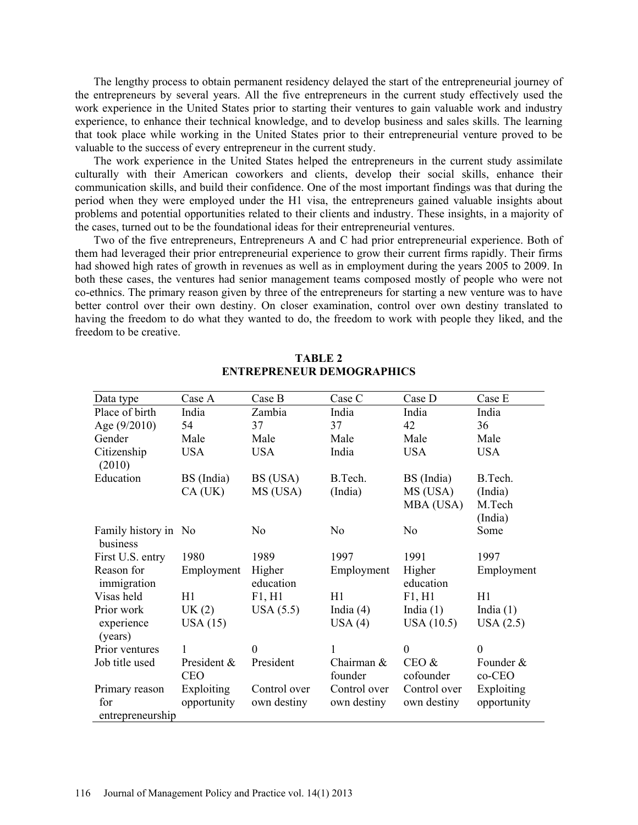The lengthy process to obtain permanent residency delayed the start of the entrepreneurial journey of the entrepreneurs by several years. All the five entrepreneurs in the current study effectively used the work experience in the United States prior to starting their ventures to gain valuable work and industry experience, to enhance their technical knowledge, and to develop business and sales skills. The learning that took place while working in the United States prior to their entrepreneurial venture proved to be valuable to the success of every entrepreneur in the current study.

The work experience in the United States helped the entrepreneurs in the current study assimilate culturally with their American coworkers and clients, develop their social skills, enhance their communication skills, and build their confidence. One of the most important findings was that during the period when they were employed under the H1 visa, the entrepreneurs gained valuable insights about problems and potential opportunities related to their clients and industry. These insights, in a majority of the cases, turned out to be the foundational ideas for their entrepreneurial ventures.

Two of the five entrepreneurs, Entrepreneurs A and C had prior entrepreneurial experience. Both of them had leveraged their prior entrepreneurial experience to grow their current firms rapidly. Their firms had showed high rates of growth in revenues as well as in employment during the years 2005 to 2009. In both these cases, the ventures had senior management teams composed mostly of people who were not co-ethnics. The primary reason given by three of the entrepreneurs for starting a new venture was to have better control over their own destiny. On closer examination, control over own destiny translated to having the freedom to do what they wanted to do, the freedom to work with people they liked, and the freedom to be creative.

| Data type                        | Case A                    | Case B              | Case C                | Case D                 | Case E              |
|----------------------------------|---------------------------|---------------------|-----------------------|------------------------|---------------------|
| Place of birth                   | India                     | Zambia              | India                 | India                  | India               |
| Age (9/2010)                     | 54                        | 37                  | 37                    | 42                     | 36                  |
| Gender                           | Male                      | Male                | Male                  | Male                   | Male                |
| Citizenship<br>(2010)            | <b>USA</b>                | <b>USA</b>          | India                 | <b>USA</b>             | <b>USA</b>          |
| Education                        | BS (India)                | BS (USA)            | B.Tech.               | BS (India)             | B.Tech.             |
|                                  | $CA$ (UK)                 | MS (USA)            | (India)               | MS (USA)               | (India)             |
|                                  |                           |                     |                       | MBA (USA)              | M.Tech              |
|                                  |                           |                     |                       |                        | (India)             |
| Family history in No<br>business |                           | No                  | No                    | No                     | Some                |
| First U.S. entry                 | 1980                      | 1989                | 1997                  | 1991                   | 1997                |
| Reason for<br>immigration        | Employment                | Higher<br>education | Employment            | Higher<br>education    | Employment          |
| Visas held                       | H1                        | F1, H1              | H1                    | F1, H1                 | H1                  |
| Prior work                       | UK(2)                     | USA(5.5)            | India $(4)$           | India $(1)$            | India $(1)$         |
| experience                       | USA(15)                   |                     | USA(4)                | USA(10.5)              | USA $(2.5)$         |
| (years)                          |                           |                     |                       |                        |                     |
| Prior ventures                   | 1                         | $\Omega$            | 1                     | $\boldsymbol{0}$       | $\boldsymbol{0}$    |
| Job title used                   | President &<br><b>CEO</b> | President           | Chairman &<br>founder | $CEO$ $&$<br>cofounder | Founder &<br>co-CEO |
| Primary reason                   | Exploiting                | Control over        | Control over          | Control over           | Exploiting          |
| for                              | opportunity               | own destiny         | own destiny           | own destiny            | opportunity         |
| entrepreneurship                 |                           |                     |                       |                        |                     |

# **TABLE 2 ENTREPRENEUR DEMOGRAPHICS**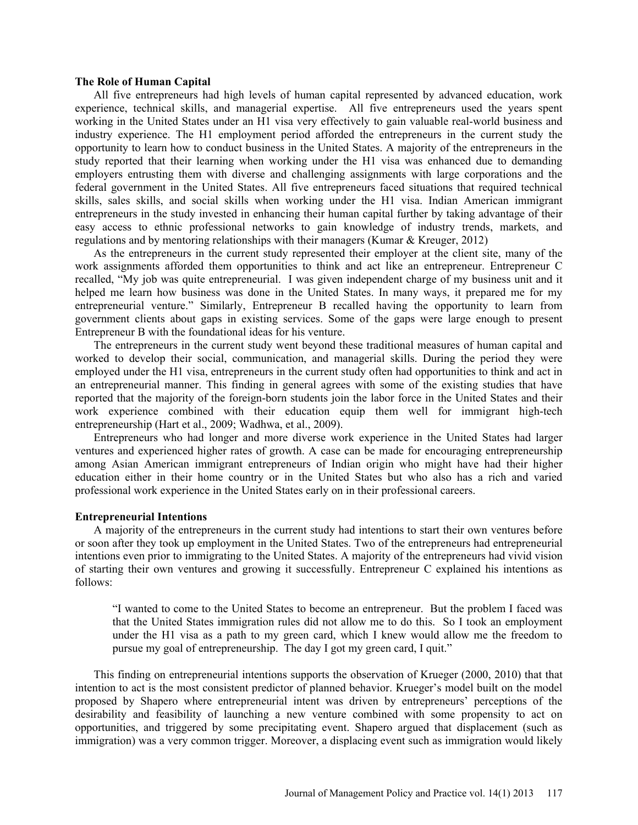# **The Role of Human Capital**

All five entrepreneurs had high levels of human capital represented by advanced education, work experience, technical skills, and managerial expertise. All five entrepreneurs used the years spent working in the United States under an H1 visa very effectively to gain valuable real-world business and industry experience. The H1 employment period afforded the entrepreneurs in the current study the opportunity to learn how to conduct business in the United States. A majority of the entrepreneurs in the study reported that their learning when working under the H1 visa was enhanced due to demanding employers entrusting them with diverse and challenging assignments with large corporations and the federal government in the United States. All five entrepreneurs faced situations that required technical skills, sales skills, and social skills when working under the H1 visa. Indian American immigrant entrepreneurs in the study invested in enhancing their human capital further by taking advantage of their easy access to ethnic professional networks to gain knowledge of industry trends, markets, and regulations and by mentoring relationships with their managers (Kumar & Kreuger, 2012)

As the entrepreneurs in the current study represented their employer at the client site, many of the work assignments afforded them opportunities to think and act like an entrepreneur. Entrepreneur C recalled, "My job was quite entrepreneurial. I was given independent charge of my business unit and it helped me learn how business was done in the United States. In many ways, it prepared me for my entrepreneurial venture." Similarly, Entrepreneur B recalled having the opportunity to learn from government clients about gaps in existing services. Some of the gaps were large enough to present Entrepreneur B with the foundational ideas for his venture.

The entrepreneurs in the current study went beyond these traditional measures of human capital and worked to develop their social, communication, and managerial skills. During the period they were employed under the H1 visa, entrepreneurs in the current study often had opportunities to think and act in an entrepreneurial manner. This finding in general agrees with some of the existing studies that have reported that the majority of the foreign-born students join the labor force in the United States and their work experience combined with their education equip them well for immigrant high-tech entrepreneurship (Hart et al., 2009; Wadhwa, et al., 2009).

Entrepreneurs who had longer and more diverse work experience in the United States had larger ventures and experienced higher rates of growth. A case can be made for encouraging entrepreneurship among Asian American immigrant entrepreneurs of Indian origin who might have had their higher education either in their home country or in the United States but who also has a rich and varied professional work experience in the United States early on in their professional careers.

#### **Entrepreneurial Intentions**

A majority of the entrepreneurs in the current study had intentions to start their own ventures before or soon after they took up employment in the United States. Two of the entrepreneurs had entrepreneurial intentions even prior to immigrating to the United States. A majority of the entrepreneurs had vivid vision of starting their own ventures and growing it successfully. Entrepreneur C explained his intentions as follows:

"I wanted to come to the United States to become an entrepreneur. But the problem I faced was that the United States immigration rules did not allow me to do this. So I took an employment under the H1 visa as a path to my green card, which I knew would allow me the freedom to pursue my goal of entrepreneurship. The day I got my green card, I quit."

This finding on entrepreneurial intentions supports the observation of Krueger (2000, 2010) that that intention to act is the most consistent predictor of planned behavior. Krueger's model built on the model proposed by Shapero where entrepreneurial intent was driven by entrepreneurs' perceptions of the desirability and feasibility of launching a new venture combined with some propensity to act on opportunities, and triggered by some precipitating event. Shapero argued that displacement (such as immigration) was a very common trigger. Moreover, a displacing event such as immigration would likely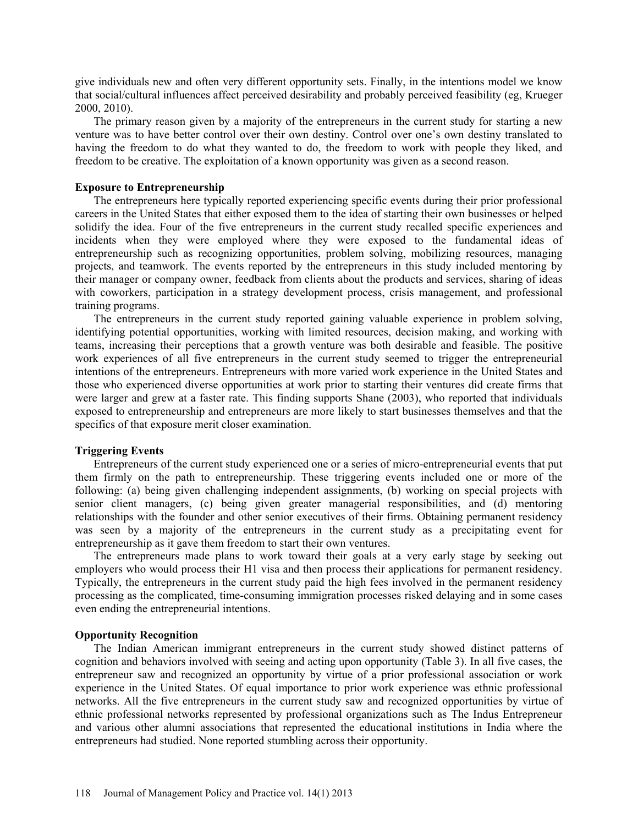give individuals new and often very different opportunity sets. Finally, in the intentions model we know that social/cultural influences affect perceived desirability and probably perceived feasibility (eg, Krueger 2000, 2010).

The primary reason given by a majority of the entrepreneurs in the current study for starting a new venture was to have better control over their own destiny. Control over one's own destiny translated to having the freedom to do what they wanted to do, the freedom to work with people they liked, and freedom to be creative. The exploitation of a known opportunity was given as a second reason.

#### **Exposure to Entrepreneurship**

The entrepreneurs here typically reported experiencing specific events during their prior professional careers in the United States that either exposed them to the idea of starting their own businesses or helped solidify the idea. Four of the five entrepreneurs in the current study recalled specific experiences and incidents when they were employed where they were exposed to the fundamental ideas of entrepreneurship such as recognizing opportunities, problem solving, mobilizing resources, managing projects, and teamwork. The events reported by the entrepreneurs in this study included mentoring by their manager or company owner, feedback from clients about the products and services, sharing of ideas with coworkers, participation in a strategy development process, crisis management, and professional training programs.

The entrepreneurs in the current study reported gaining valuable experience in problem solving, identifying potential opportunities, working with limited resources, decision making, and working with teams, increasing their perceptions that a growth venture was both desirable and feasible. The positive work experiences of all five entrepreneurs in the current study seemed to trigger the entrepreneurial intentions of the entrepreneurs. Entrepreneurs with more varied work experience in the United States and those who experienced diverse opportunities at work prior to starting their ventures did create firms that were larger and grew at a faster rate. This finding supports Shane (2003), who reported that individuals exposed to entrepreneurship and entrepreneurs are more likely to start businesses themselves and that the specifics of that exposure merit closer examination.

### **Triggering Events**

Entrepreneurs of the current study experienced one or a series of micro-entrepreneurial events that put them firmly on the path to entrepreneurship. These triggering events included one or more of the following: (a) being given challenging independent assignments, (b) working on special projects with senior client managers, (c) being given greater managerial responsibilities, and (d) mentoring relationships with the founder and other senior executives of their firms. Obtaining permanent residency was seen by a majority of the entrepreneurs in the current study as a precipitating event for entrepreneurship as it gave them freedom to start their own ventures.

The entrepreneurs made plans to work toward their goals at a very early stage by seeking out employers who would process their H1 visa and then process their applications for permanent residency. Typically, the entrepreneurs in the current study paid the high fees involved in the permanent residency processing as the complicated, time-consuming immigration processes risked delaying and in some cases even ending the entrepreneurial intentions.

# **Opportunity Recognition**

The Indian American immigrant entrepreneurs in the current study showed distinct patterns of cognition and behaviors involved with seeing and acting upon opportunity (Table 3). In all five cases, the entrepreneur saw and recognized an opportunity by virtue of a prior professional association or work experience in the United States. Of equal importance to prior work experience was ethnic professional networks. All the five entrepreneurs in the current study saw and recognized opportunities by virtue of ethnic professional networks represented by professional organizations such as The Indus Entrepreneur and various other alumni associations that represented the educational institutions in India where the entrepreneurs had studied. None reported stumbling across their opportunity.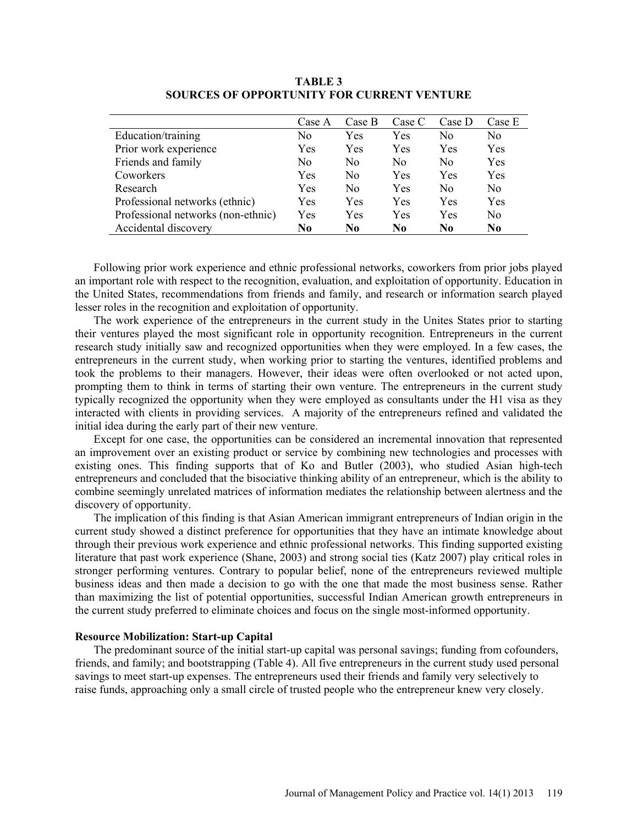| Case A | Case B         | Case C         | Case D         | Case E         |
|--------|----------------|----------------|----------------|----------------|
| No     | Yes            | Yes            | No             | No             |
| Yes    | Yes            | Yes            | Yes            | Yes            |
| No     | N <sub>0</sub> | N <sub>0</sub> | No             | Yes            |
| Yes    | N <sub>0</sub> | Yes            | Yes            | Yes            |
| Yes    | N <sub>0</sub> | Yes            | N <sub>0</sub> | N <sub>0</sub> |
| Yes    | Yes            | Yes            | Yes            | Yes            |
| Yes    | Yes            | Yes            | <b>Yes</b>     | N <sub>0</sub> |
| No     | N <sub>0</sub> | No             | No             | N <sub>0</sub> |
|        |                |                |                |                |

**TABLE 3 SOURCES OF OPPORTUNITY FOR CURRENT VENTURE** 

Following prior work experience and ethnic professional networks, coworkers from prior jobs played an important role with respect to the recognition, evaluation, and exploitation of opportunity. Education in the United States, recommendations from friends and family, and research or information search played lesser roles in the recognition and exploitation of opportunity.

The work experience of the entrepreneurs in the current study in the Unites States prior to starting their ventures played the most significant role in opportunity recognition. Entrepreneurs in the current research study initially saw and recognized opportunities when they were employed. In a few cases, the entrepreneurs in the current study, when working prior to starting the ventures, identified problems and took the problems to their managers. However, their ideas were often overlooked or not acted upon, prompting them to think in terms of starting their own venture. The entrepreneurs in the current study typically recognized the opportunity when they were employed as consultants under the H1 visa as they interacted with clients in providing services. A majority of the entrepreneurs refined and validated the initial idea during the early part of their new venture.

Except for one case, the opportunities can be considered an incremental innovation that represented an improvement over an existing product or service by combining new technologies and processes with existing ones. This finding supports that of Ko and Butler (2003), who studied Asian high-tech entrepreneurs and concluded that the bisociative thinking ability of an entrepreneur, which is the ability to combine seemingly unrelated matrices of information mediates the relationship between alertness and the discovery of opportunity.

The implication of this finding is that Asian American immigrant entrepreneurs of Indian origin in the current study showed a distinct preference for opportunities that they have an intimate knowledge about through their previous work experience and ethnic professional networks. This finding supported existing literature that past work experience (Shane, 2003) and strong social ties (Katz 2007) play critical roles in stronger performing ventures. Contrary to popular belief, none of the entrepreneurs reviewed multiple business ideas and then made a decision to go with the one that made the most business sense. Rather than maximizing the list of potential opportunities, successful Indian American growth entrepreneurs in the current study preferred to eliminate choices and focus on the single most-informed opportunity.

#### **Resource Mobilization: Start-up Capital**

The predominant source of the initial start-up capital was personal savings; funding from cofounders, friends, and family; and bootstrapping (Table 4). All five entrepreneurs in the current study used personal savings to meet start-up expenses. The entrepreneurs used their friends and family very selectively to raise funds, approaching only a small circle of trusted people who the entrepreneur knew very closely.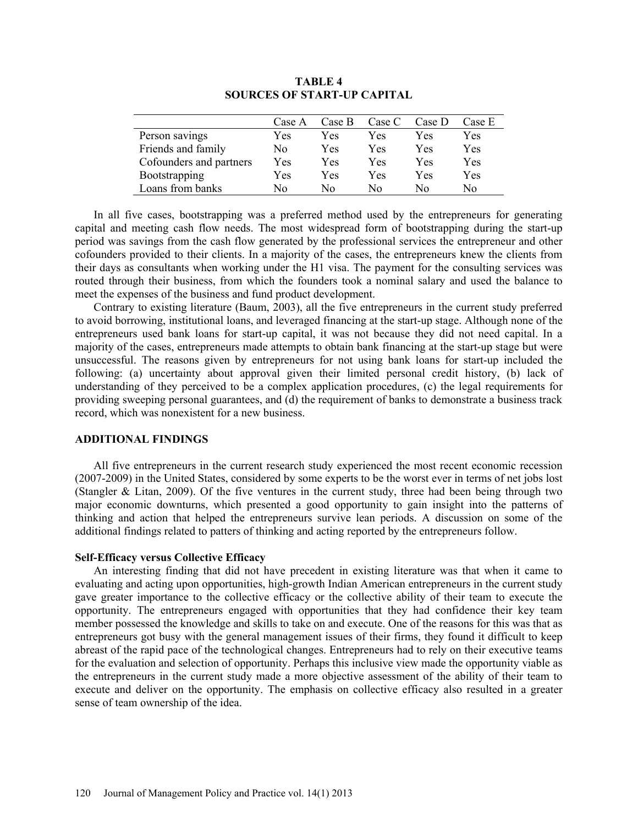|                         | Case A | Case B | Case C | Case D | Case E |
|-------------------------|--------|--------|--------|--------|--------|
| Person savings          | Yes    | Yes    | Yes    | Yes    | Yes    |
| Friends and family      | No.    | Yes    | Yes    | Yes    | Yes    |
| Cofounders and partners | Yes    | Yes    | Yes    | Yes    | Yes    |
| <b>Bootstrapping</b>    | Yes    | Yes    | Yes    | Yes    | Yes    |
| Loans from banks        | Nο     | Nο     | Nο     | N٥     | Nο     |

# **TABLE 4 SOURCES OF START-UP CAPITAL**

In all five cases, bootstrapping was a preferred method used by the entrepreneurs for generating capital and meeting cash flow needs. The most widespread form of bootstrapping during the start-up period was savings from the cash flow generated by the professional services the entrepreneur and other cofounders provided to their clients. In a majority of the cases, the entrepreneurs knew the clients from their days as consultants when working under the H1 visa. The payment for the consulting services was routed through their business, from which the founders took a nominal salary and used the balance to meet the expenses of the business and fund product development.

Contrary to existing literature (Baum, 2003), all the five entrepreneurs in the current study preferred to avoid borrowing, institutional loans, and leveraged financing at the start-up stage. Although none of the entrepreneurs used bank loans for start-up capital, it was not because they did not need capital. In a majority of the cases, entrepreneurs made attempts to obtain bank financing at the start-up stage but were unsuccessful. The reasons given by entrepreneurs for not using bank loans for start-up included the following: (a) uncertainty about approval given their limited personal credit history, (b) lack of understanding of they perceived to be a complex application procedures, (c) the legal requirements for providing sweeping personal guarantees, and (d) the requirement of banks to demonstrate a business track record, which was nonexistent for a new business.

# **ADDITIONAL FINDINGS**

All five entrepreneurs in the current research study experienced the most recent economic recession (2007-2009) in the United States, considered by some experts to be the worst ever in terms of net jobs lost (Stangler & Litan, 2009). Of the five ventures in the current study, three had been being through two major economic downturns, which presented a good opportunity to gain insight into the patterns of thinking and action that helped the entrepreneurs survive lean periods. A discussion on some of the additional findings related to patters of thinking and acting reported by the entrepreneurs follow.

# **Self-Efficacy versus Collective Efficacy**

An interesting finding that did not have precedent in existing literature was that when it came to evaluating and acting upon opportunities, high-growth Indian American entrepreneurs in the current study gave greater importance to the collective efficacy or the collective ability of their team to execute the opportunity. The entrepreneurs engaged with opportunities that they had confidence their key team member possessed the knowledge and skills to take on and execute. One of the reasons for this was that as entrepreneurs got busy with the general management issues of their firms, they found it difficult to keep abreast of the rapid pace of the technological changes. Entrepreneurs had to rely on their executive teams for the evaluation and selection of opportunity. Perhaps this inclusive view made the opportunity viable as the entrepreneurs in the current study made a more objective assessment of the ability of their team to execute and deliver on the opportunity. The emphasis on collective efficacy also resulted in a greater sense of team ownership of the idea.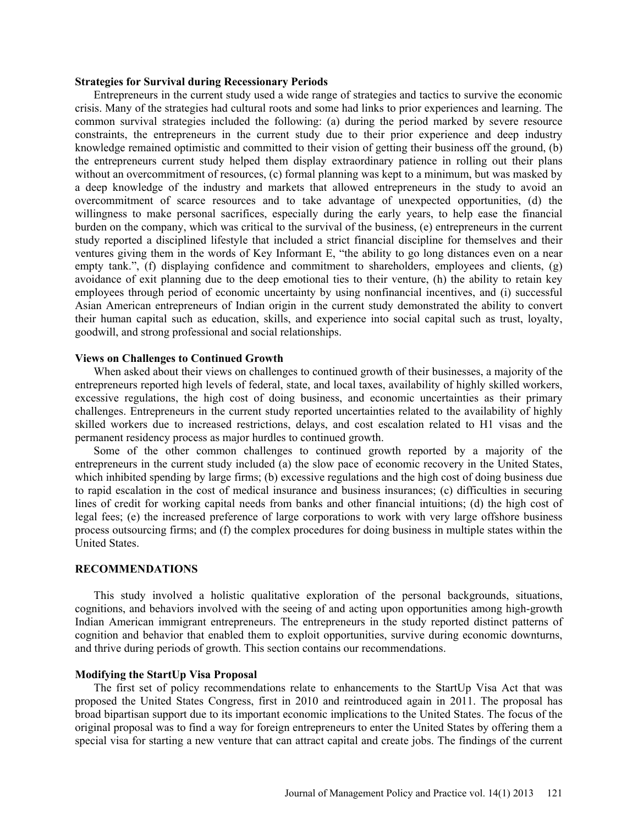# **Strategies for Survival during Recessionary Periods**

Entrepreneurs in the current study used a wide range of strategies and tactics to survive the economic crisis. Many of the strategies had cultural roots and some had links to prior experiences and learning. The common survival strategies included the following: (a) during the period marked by severe resource constraints, the entrepreneurs in the current study due to their prior experience and deep industry knowledge remained optimistic and committed to their vision of getting their business off the ground, (b) the entrepreneurs current study helped them display extraordinary patience in rolling out their plans without an overcommitment of resources, (c) formal planning was kept to a minimum, but was masked by a deep knowledge of the industry and markets that allowed entrepreneurs in the study to avoid an overcommitment of scarce resources and to take advantage of unexpected opportunities, (d) the willingness to make personal sacrifices, especially during the early years, to help ease the financial burden on the company, which was critical to the survival of the business, (e) entrepreneurs in the current study reported a disciplined lifestyle that included a strict financial discipline for themselves and their ventures giving them in the words of Key Informant E, "the ability to go long distances even on a near empty tank.", (f) displaying confidence and commitment to shareholders, employees and clients, (g) avoidance of exit planning due to the deep emotional ties to their venture, (h) the ability to retain key employees through period of economic uncertainty by using nonfinancial incentives, and (i) successful Asian American entrepreneurs of Indian origin in the current study demonstrated the ability to convert their human capital such as education, skills, and experience into social capital such as trust, loyalty, goodwill, and strong professional and social relationships.

# **Views on Challenges to Continued Growth**

When asked about their views on challenges to continued growth of their businesses, a majority of the entrepreneurs reported high levels of federal, state, and local taxes, availability of highly skilled workers, excessive regulations, the high cost of doing business, and economic uncertainties as their primary challenges. Entrepreneurs in the current study reported uncertainties related to the availability of highly skilled workers due to increased restrictions, delays, and cost escalation related to H1 visas and the permanent residency process as major hurdles to continued growth.

Some of the other common challenges to continued growth reported by a majority of the entrepreneurs in the current study included (a) the slow pace of economic recovery in the United States, which inhibited spending by large firms; (b) excessive regulations and the high cost of doing business due to rapid escalation in the cost of medical insurance and business insurances; (c) difficulties in securing lines of credit for working capital needs from banks and other financial intuitions; (d) the high cost of legal fees; (e) the increased preference of large corporations to work with very large offshore business process outsourcing firms; and (f) the complex procedures for doing business in multiple states within the United States.

# **RECOMMENDATIONS**

This study involved a holistic qualitative exploration of the personal backgrounds, situations, cognitions, and behaviors involved with the seeing of and acting upon opportunities among high-growth Indian American immigrant entrepreneurs. The entrepreneurs in the study reported distinct patterns of cognition and behavior that enabled them to exploit opportunities, survive during economic downturns, and thrive during periods of growth. This section contains our recommendations.

# **Modifying the StartUp Visa Proposal**

The first set of policy recommendations relate to enhancements to the StartUp Visa Act that was proposed the United States Congress, first in 2010 and reintroduced again in 2011. The proposal has broad bipartisan support due to its important economic implications to the United States. The focus of the original proposal was to find a way for foreign entrepreneurs to enter the United States by offering them a special visa for starting a new venture that can attract capital and create jobs. The findings of the current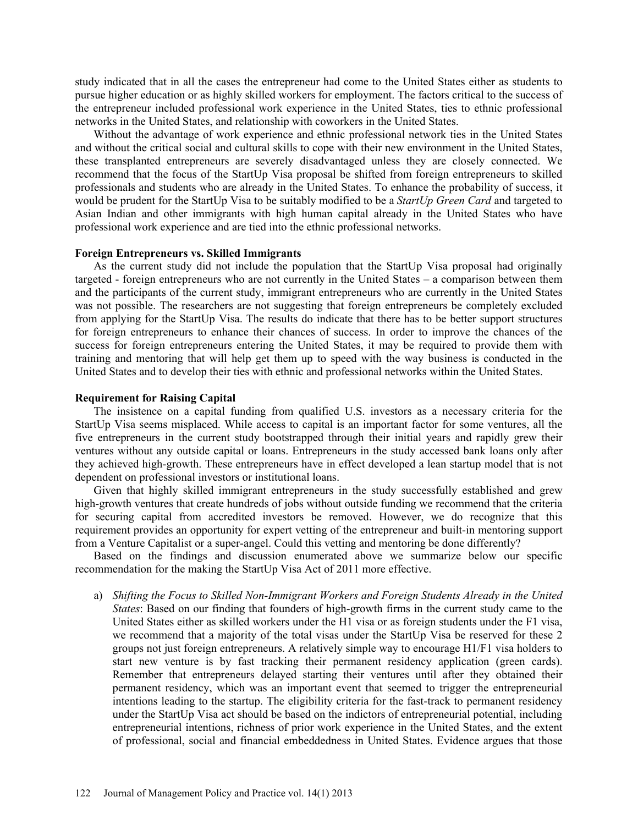study indicated that in all the cases the entrepreneur had come to the United States either as students to pursue higher education or as highly skilled workers for employment. The factors critical to the success of the entrepreneur included professional work experience in the United States, ties to ethnic professional networks in the United States, and relationship with coworkers in the United States.

Without the advantage of work experience and ethnic professional network ties in the United States and without the critical social and cultural skills to cope with their new environment in the United States, these transplanted entrepreneurs are severely disadvantaged unless they are closely connected. We recommend that the focus of the StartUp Visa proposal be shifted from foreign entrepreneurs to skilled professionals and students who are already in the United States. To enhance the probability of success, it would be prudent for the StartUp Visa to be suitably modified to be a *StartUp Green Card* and targeted to Asian Indian and other immigrants with high human capital already in the United States who have professional work experience and are tied into the ethnic professional networks.

# **Foreign Entrepreneurs vs. Skilled Immigrants**

As the current study did not include the population that the StartUp Visa proposal had originally targeted - foreign entrepreneurs who are not currently in the United States – a comparison between them and the participants of the current study, immigrant entrepreneurs who are currently in the United States was not possible. The researchers are not suggesting that foreign entrepreneurs be completely excluded from applying for the StartUp Visa. The results do indicate that there has to be better support structures for foreign entrepreneurs to enhance their chances of success. In order to improve the chances of the success for foreign entrepreneurs entering the United States, it may be required to provide them with training and mentoring that will help get them up to speed with the way business is conducted in the United States and to develop their ties with ethnic and professional networks within the United States.

# **Requirement for Raising Capital**

The insistence on a capital funding from qualified U.S. investors as a necessary criteria for the StartUp Visa seems misplaced. While access to capital is an important factor for some ventures, all the five entrepreneurs in the current study bootstrapped through their initial years and rapidly grew their ventures without any outside capital or loans. Entrepreneurs in the study accessed bank loans only after they achieved high-growth. These entrepreneurs have in effect developed a lean startup model that is not dependent on professional investors or institutional loans.

Given that highly skilled immigrant entrepreneurs in the study successfully established and grew high-growth ventures that create hundreds of jobs without outside funding we recommend that the criteria for securing capital from accredited investors be removed. However, we do recognize that this requirement provides an opportunity for expert vetting of the entrepreneur and built-in mentoring support from a Venture Capitalist or a super-angel. Could this vetting and mentoring be done differently?

Based on the findings and discussion enumerated above we summarize below our specific recommendation for the making the StartUp Visa Act of 2011 more effective.

a) *Shifting the Focus to Skilled Non-Immigrant Workers and Foreign Students Already in the United States*: Based on our finding that founders of high-growth firms in the current study came to the United States either as skilled workers under the H1 visa or as foreign students under the F1 visa, we recommend that a majority of the total visas under the StartUp Visa be reserved for these 2 groups not just foreign entrepreneurs. A relatively simple way to encourage H1/F1 visa holders to start new venture is by fast tracking their permanent residency application (green cards). Remember that entrepreneurs delayed starting their ventures until after they obtained their permanent residency, which was an important event that seemed to trigger the entrepreneurial intentions leading to the startup. The eligibility criteria for the fast-track to permanent residency under the StartUp Visa act should be based on the indictors of entrepreneurial potential, including entrepreneurial intentions, richness of prior work experience in the United States, and the extent of professional, social and financial embeddedness in United States. Evidence argues that those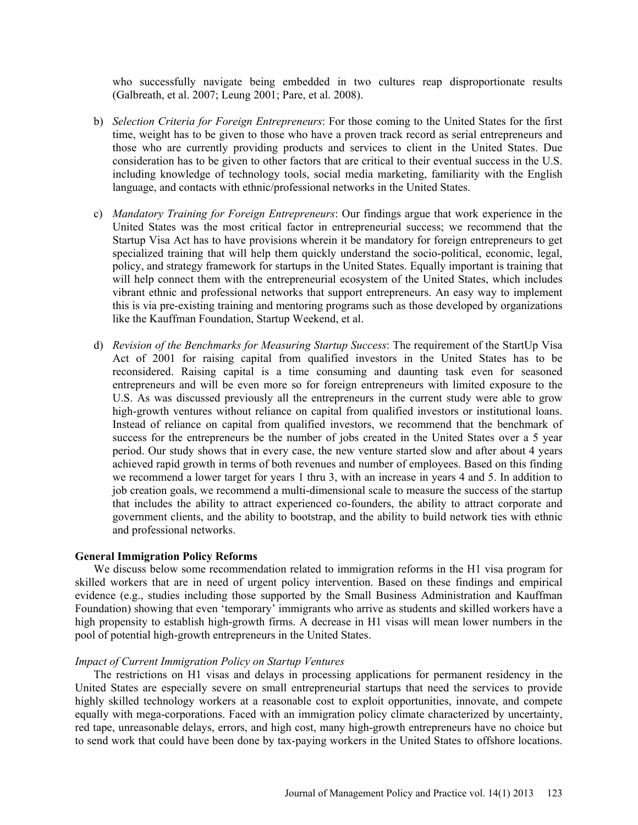who successfully navigate being embedded in two cultures reap disproportionate results (Galbreath, et al. 2007; Leung 2001; Pare, et al. 2008).

- b) *Selection Criteria for Foreign Entrepreneurs*: For those coming to the United States for the first time, weight has to be given to those who have a proven track record as serial entrepreneurs and those who are currently providing products and services to client in the United States. Due consideration has to be given to other factors that are critical to their eventual success in the U.S. including knowledge of technology tools, social media marketing, familiarity with the English language, and contacts with ethnic/professional networks in the United States.
- c) *Mandatory Training for Foreign Entrepreneurs*: Our findings argue that work experience in the United States was the most critical factor in entrepreneurial success; we recommend that the Startup Visa Act has to have provisions wherein it be mandatory for foreign entrepreneurs to get specialized training that will help them quickly understand the socio-political, economic, legal, policy, and strategy framework for startups in the United States. Equally important is training that will help connect them with the entrepreneurial ecosystem of the United States, which includes vibrant ethnic and professional networks that support entrepreneurs. An easy way to implement this is via pre-existing training and mentoring programs such as those developed by organizations like the Kauffman Foundation, Startup Weekend, et al.
- d) *Revision of the Benchmarks for Measuring Startup Success*: The requirement of the StartUp Visa Act of 2001 for raising capital from qualified investors in the United States has to be reconsidered. Raising capital is a time consuming and daunting task even for seasoned entrepreneurs and will be even more so for foreign entrepreneurs with limited exposure to the U.S. As was discussed previously all the entrepreneurs in the current study were able to grow high-growth ventures without reliance on capital from qualified investors or institutional loans. Instead of reliance on capital from qualified investors, we recommend that the benchmark of success for the entrepreneurs be the number of jobs created in the United States over a 5 year period. Our study shows that in every case, the new venture started slow and after about 4 years achieved rapid growth in terms of both revenues and number of employees. Based on this finding we recommend a lower target for years 1 thru 3, with an increase in years 4 and 5. In addition to job creation goals, we recommend a multi-dimensional scale to measure the success of the startup that includes the ability to attract experienced co-founders, the ability to attract corporate and government clients, and the ability to bootstrap, and the ability to build network ties with ethnic and professional networks.

# **General Immigration Policy Reforms**

We discuss below some recommendation related to immigration reforms in the H1 visa program for skilled workers that are in need of urgent policy intervention. Based on these findings and empirical evidence (e.g., studies including those supported by the Small Business Administration and Kauffman Foundation) showing that even 'temporary' immigrants who arrive as students and skilled workers have a high propensity to establish high-growth firms. A decrease in H1 visas will mean lower numbers in the pool of potential high-growth entrepreneurs in the United States.

# *Impact of Current Immigration Policy on Startup Ventures*

The restrictions on H1 visas and delays in processing applications for permanent residency in the United States are especially severe on small entrepreneurial startups that need the services to provide highly skilled technology workers at a reasonable cost to exploit opportunities, innovate, and compete equally with mega-corporations. Faced with an immigration policy climate characterized by uncertainty, red tape, unreasonable delays, errors, and high cost, many high-growth entrepreneurs have no choice but to send work that could have been done by tax-paying workers in the United States to offshore locations.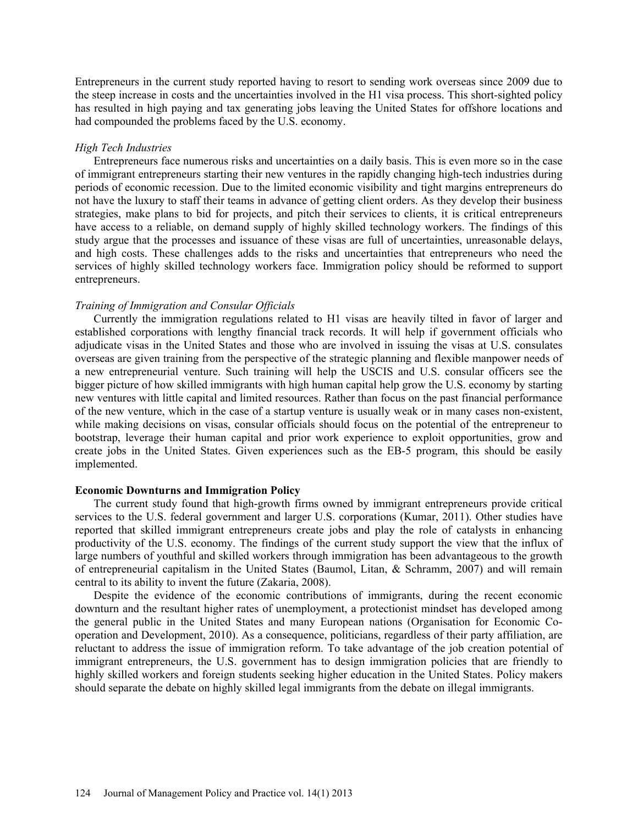Entrepreneurs in the current study reported having to resort to sending work overseas since 2009 due to the steep increase in costs and the uncertainties involved in the H1 visa process. This short-sighted policy has resulted in high paying and tax generating jobs leaving the United States for offshore locations and had compounded the problems faced by the U.S. economy.

# *High Tech Industries*

Entrepreneurs face numerous risks and uncertainties on a daily basis. This is even more so in the case of immigrant entrepreneurs starting their new ventures in the rapidly changing high-tech industries during periods of economic recession. Due to the limited economic visibility and tight margins entrepreneurs do not have the luxury to staff their teams in advance of getting client orders. As they develop their business strategies, make plans to bid for projects, and pitch their services to clients, it is critical entrepreneurs have access to a reliable, on demand supply of highly skilled technology workers. The findings of this study argue that the processes and issuance of these visas are full of uncertainties, unreasonable delays, and high costs. These challenges adds to the risks and uncertainties that entrepreneurs who need the services of highly skilled technology workers face. Immigration policy should be reformed to support entrepreneurs.

# *Training of Immigration and Consular Officials*

Currently the immigration regulations related to H1 visas are heavily tilted in favor of larger and established corporations with lengthy financial track records. It will help if government officials who adjudicate visas in the United States and those who are involved in issuing the visas at U.S. consulates overseas are given training from the perspective of the strategic planning and flexible manpower needs of a new entrepreneurial venture. Such training will help the USCIS and U.S. consular officers see the bigger picture of how skilled immigrants with high human capital help grow the U.S. economy by starting new ventures with little capital and limited resources. Rather than focus on the past financial performance of the new venture, which in the case of a startup venture is usually weak or in many cases non-existent, while making decisions on visas, consular officials should focus on the potential of the entrepreneur to bootstrap, leverage their human capital and prior work experience to exploit opportunities, grow and create jobs in the United States. Given experiences such as the EB-5 program, this should be easily implemented.

### **Economic Downturns and Immigration Policy**

The current study found that high-growth firms owned by immigrant entrepreneurs provide critical services to the U.S. federal government and larger U.S. corporations (Kumar, 2011). Other studies have reported that skilled immigrant entrepreneurs create jobs and play the role of catalysts in enhancing productivity of the U.S. economy. The findings of the current study support the view that the influx of large numbers of youthful and skilled workers through immigration has been advantageous to the growth of entrepreneurial capitalism in the United States (Baumol, Litan, & Schramm, 2007) and will remain central to its ability to invent the future (Zakaria, 2008).

Despite the evidence of the economic contributions of immigrants, during the recent economic downturn and the resultant higher rates of unemployment, a protectionist mindset has developed among the general public in the United States and many European nations (Organisation for Economic Cooperation and Development, 2010). As a consequence, politicians, regardless of their party affiliation, are reluctant to address the issue of immigration reform. To take advantage of the job creation potential of immigrant entrepreneurs, the U.S. government has to design immigration policies that are friendly to highly skilled workers and foreign students seeking higher education in the United States. Policy makers should separate the debate on highly skilled legal immigrants from the debate on illegal immigrants.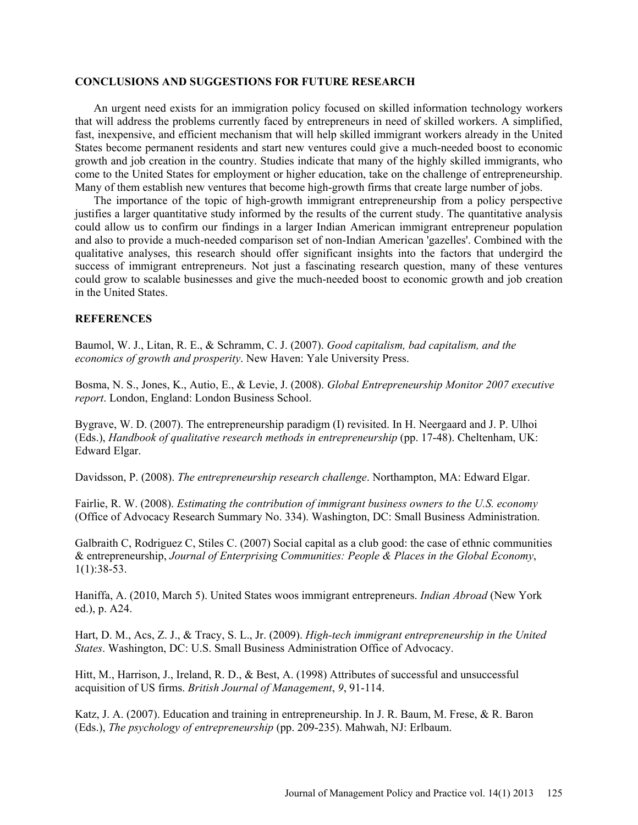#### **CONCLUSIONS AND SUGGESTIONS FOR FUTURE RESEARCH**

An urgent need exists for an immigration policy focused on skilled information technology workers that will address the problems currently faced by entrepreneurs in need of skilled workers. A simplified, fast, inexpensive, and efficient mechanism that will help skilled immigrant workers already in the United States become permanent residents and start new ventures could give a much-needed boost to economic growth and job creation in the country. Studies indicate that many of the highly skilled immigrants, who come to the United States for employment or higher education, take on the challenge of entrepreneurship. Many of them establish new ventures that become high-growth firms that create large number of jobs.

The importance of the topic of high-growth immigrant entrepreneurship from a policy perspective justifies a larger quantitative study informed by the results of the current study. The quantitative analysis could allow us to confirm our findings in a larger Indian American immigrant entrepreneur population and also to provide a much-needed comparison set of non-Indian American 'gazelles'. Combined with the qualitative analyses, this research should offer significant insights into the factors that undergird the success of immigrant entrepreneurs. Not just a fascinating research question, many of these ventures could grow to scalable businesses and give the much-needed boost to economic growth and job creation in the United States.

# **REFERENCES**

Baumol, W. J., Litan, R. E., & Schramm, C. J. (2007). *Good capitalism, bad capitalism, and the economics of growth and prosperity*. New Haven: Yale University Press.

Bosma, N. S., Jones, K., Autio, E., & Levie, J. (2008). *Global Entrepreneurship Monitor 2007 executive report*. London, England: London Business School.

Bygrave, W. D. (2007). The entrepreneurship paradigm (I) revisited. In H. Neergaard and J. P. Ulhoi (Eds.), *Handbook of qualitative research methods in entrepreneurship* (pp. 17-48). Cheltenham, UK: Edward Elgar.

Davidsson, P. (2008). *The entrepreneurship research challenge*. Northampton, MA: Edward Elgar.

Fairlie, R. W. (2008). *Estimating the contribution of immigrant business owners to the U.S. economy* (Office of Advocacy Research Summary No. 334). Washington, DC: Small Business Administration.

Galbraith C, Rodriguez C, Stiles C. (2007) Social capital as a club good: the case of ethnic communities & entrepreneurship, *Journal of Enterprising Communities: People & Places in the Global Economy*, 1(1):38-53.

Haniffa, A. (2010, March 5). United States woos immigrant entrepreneurs. *Indian Abroad* (New York ed.), p. A24.

Hart, D. M., Acs, Z. J., & Tracy, S. L., Jr. (2009). *High-tech immigrant entrepreneurship in the United States*. Washington, DC: U.S. Small Business Administration Office of Advocacy.

Hitt, M., Harrison, J., Ireland, R. D., & Best, A. (1998) Attributes of successful and unsuccessful acquisition of US firms. *British Journal of Management*, *9*, 91-114.

Katz, J. A. (2007). Education and training in entrepreneurship. In J. R. Baum, M. Frese, & R. Baron (Eds.), *The psychology of entrepreneurship* (pp. 209-235). Mahwah, NJ: Erlbaum.